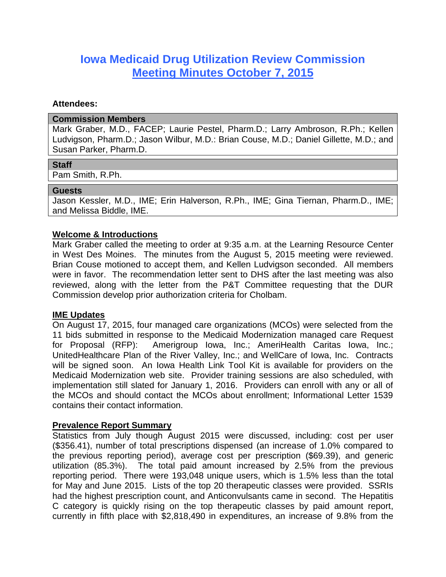# **Iowa Medicaid Drug Utilization Review Commission Meeting Minutes October 7, 2015**

#### **Attendees:**

#### **Commission Members**

Mark Graber, M.D., FACEP; Laurie Pestel, Pharm.D.; Larry Ambroson, R.Ph.; Kellen Ludvigson, Pharm.D.; Jason Wilbur, M.D.: Brian Couse, M.D.; Daniel Gillette, M.D.; and Susan Parker, Pharm.D.

## **Staff**

Pam Smith, R.Ph.

### **Guests**

Jason Kessler, M.D., IME; Erin Halverson, R.Ph., IME; Gina Tiernan, Pharm.D., IME; and Melissa Biddle, IME.

## **Welcome & Introductions**

Mark Graber called the meeting to order at 9:35 a.m. at the Learning Resource Center in West Des Moines. The minutes from the August 5, 2015 meeting were reviewed. Brian Couse motioned to accept them, and Kellen Ludvigson seconded. All members were in favor. The recommendation letter sent to DHS after the last meeting was also reviewed, along with the letter from the P&T Committee requesting that the DUR Commission develop prior authorization criteria for Cholbam.

## **IME Updates**

On August 17, 2015, four managed care organizations (MCOs) were selected from the 11 bids submitted in response to the Medicaid Modernization managed care Request for Proposal (RFP): Amerigroup Iowa, Inc.; AmeriHealth Caritas Iowa, Inc.; UnitedHealthcare Plan of the River Valley, Inc.; and WellCare of Iowa, Inc. Contracts will be signed soon. An Iowa Health Link Tool Kit is available for providers on the Medicaid Modernization web site. Provider training sessions are also scheduled, with implementation still slated for January 1, 2016. Providers can enroll with any or all of the MCOs and should contact the MCOs about enrollment; Informational Letter 1539 contains their contact information.

## **Prevalence Report Summary**

Statistics from July though August 2015 were discussed, including: cost per user (\$356.41), number of total prescriptions dispensed (an increase of 1.0% compared to the previous reporting period), average cost per prescription (\$69.39), and generic utilization (85.3%). The total paid amount increased by 2.5% from the previous reporting period. There were 193,048 unique users, which is 1.5% less than the total for May and June 2015. Lists of the top 20 therapeutic classes were provided. SSRIs had the highest prescription count, and Anticonvulsants came in second. The Hepatitis C category is quickly rising on the top therapeutic classes by paid amount report, currently in fifth place with \$2,818,490 in expenditures, an increase of 9.8% from the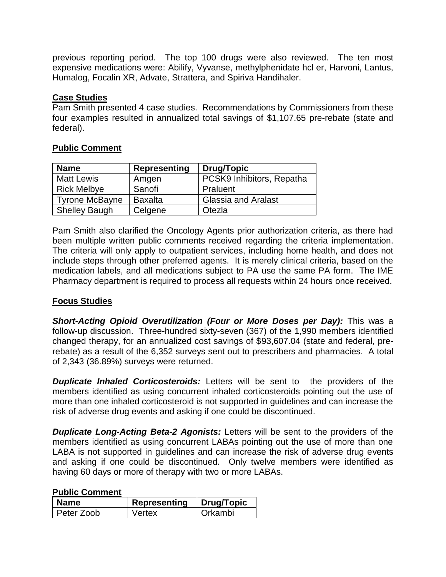previous reporting period. The top 100 drugs were also reviewed. The ten most expensive medications were: Abilify, Vyvanse, methylphenidate hcl er, Harvoni, Lantus, Humalog, Focalin XR, Advate, Strattera, and Spiriva Handihaler.

## **Case Studies**

Pam Smith presented 4 case studies. Recommendations by Commissioners from these four examples resulted in annualized total savings of \$1,107.65 pre-rebate (state and federal).

### **Public Comment**

| <b>Name</b>           | <b>Representing</b> | <b>Drug/Topic</b>          |
|-----------------------|---------------------|----------------------------|
| <b>Matt Lewis</b>     | Amgen               | PCSK9 Inhibitors, Repatha  |
| <b>Rick Melbye</b>    | Sanofi              | Praluent                   |
| <b>Tyrone McBayne</b> | <b>Baxalta</b>      | <b>Glassia and Aralast</b> |
| <b>Shelley Baugh</b>  | Celgene             | Otezla                     |

Pam Smith also clarified the Oncology Agents prior authorization criteria, as there had been multiple written public comments received regarding the criteria implementation. The criteria will only apply to outpatient services, including home health, and does not include steps through other preferred agents. It is merely clinical criteria, based on the medication labels, and all medications subject to PA use the same PA form. The IME Pharmacy department is required to process all requests within 24 hours once received.

## **Focus Studies**

*Short-Acting Opioid Overutilization (Four or More Doses per Day):* This was a follow-up discussion. Three-hundred sixty-seven (367) of the 1,990 members identified changed therapy, for an annualized cost savings of \$93,607.04 (state and federal, prerebate) as a result of the 6,352 surveys sent out to prescribers and pharmacies. A total of 2,343 (36.89%) surveys were returned.

**Duplicate Inhaled Corticosteroids:** Letters will be sent to the providers of the members identified as using concurrent inhaled corticosteroids pointing out the use of more than one inhaled corticosteroid is not supported in guidelines and can increase the risk of adverse drug events and asking if one could be discontinued.

*Duplicate Long-Acting Beta-2 Agonists:* Letters will be sent to the providers of the members identified as using concurrent LABAs pointing out the use of more than one LABA is not supported in guidelines and can increase the risk of adverse drug events and asking if one could be discontinued. Only twelve members were identified as having 60 days or more of therapy with two or more LABAs.

#### **Public Comment**

| Name       | <b>Representing</b> | Drug/Topic |
|------------|---------------------|------------|
| Peter Zoob | Vertex              | Orkambi    |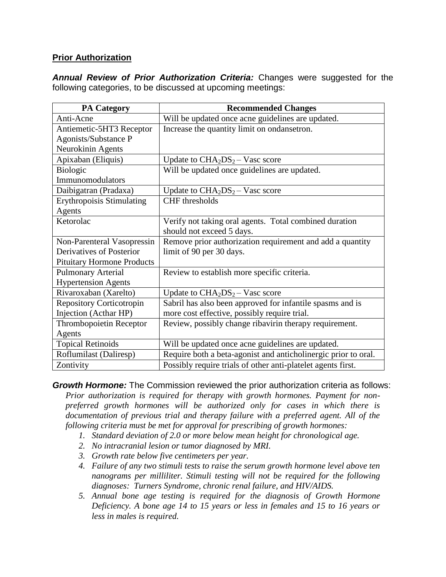## **Prior Authorization**

*Annual Review of Prior Authorization Criteria:* Changes were suggested for the following categories, to be discussed at upcoming meetings:

| <b>PA Category</b>                | <b>Recommended Changes</b>                                     |
|-----------------------------------|----------------------------------------------------------------|
| Anti-Acne                         | Will be updated once acne guidelines are updated.              |
| Antiemetic-5HT3 Receptor          | Increase the quantity limit on ondansetron.                    |
| Agonists/Substance P              |                                                                |
| Neurokinin Agents                 |                                                                |
| Apixaban (Eliquis)                | Update to $CHA2DS2 - Vasc score$                               |
| Biologic                          | Will be updated once guidelines are updated.                   |
| Immunomodulators                  |                                                                |
| Daibigatran (Pradaxa)             | Update to $CHA2DS2 - Vasc score$                               |
| <b>Erythropoisis Stimulating</b>  | CHF thresholds                                                 |
| Agents                            |                                                                |
| Ketorolac                         | Verify not taking oral agents. Total combined duration         |
|                                   | should not exceed 5 days.                                      |
| Non-Parenteral Vasopressin        | Remove prior authorization requirement and add a quantity      |
| Derivatives of Posterior          | limit of 90 per 30 days.                                       |
| <b>Pituitary Hormone Products</b> |                                                                |
| <b>Pulmonary Arterial</b>         | Review to establish more specific criteria.                    |
| <b>Hypertension Agents</b>        |                                                                |
| Rivaroxaban (Xarelto)             | Update to $CHA2DS2 - Vasc score$                               |
| <b>Repository Corticotropin</b>   | Sabril has also been approved for infantile spasms and is      |
| Injection (Acthar HP)             | more cost effective, possibly require trial.                   |
| Thrombopoietin Receptor           | Review, possibly change ribavirin therapy requirement.         |
| Agents                            |                                                                |
| Topical Retinoids                 | Will be updated once acne guidelines are updated.              |
| Roflumilast (Daliresp)            | Require both a beta-agonist and anticholinergic prior to oral. |
| Zontivity                         | Possibly require trials of other anti-platelet agents first.   |

*Growth Hormone:* The Commission reviewed the prior authorization criteria as follows: *Prior authorization is required for therapy with growth hormones. Payment for nonpreferred growth hormones will be authorized only for cases in which there is*  documentation of previous trial and therapy failure with a preferred agent. All of the *following criteria must be met for approval for prescribing of growth hormones:* 

- *1. Standard deviation of 2.0 or more below mean height for chronological age.*
- *2. No intracranial lesion or tumor diagnosed by MRI.*
- *3. Growth rate below five centimeters per year.*
- *4. Failure of any two stimuli tests to raise the serum growth hormone level above ten nanograms per milliliter. Stimuli testing will not be required for the following diagnoses: Turners Syndrome, chronic renal failure, and HIV/AIDS.*
- *5. Annual bone age testing is required for the diagnosis of Growth Hormone Deficiency. A bone age 14 to 15 years or less in females and 15 to 16 years or less in males is required.*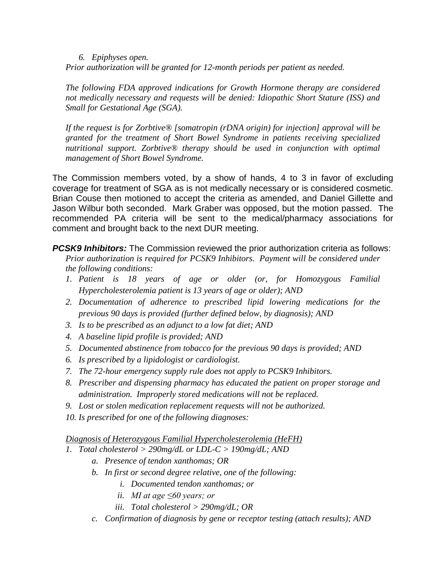#### *6. Epiphyses open.*

*Prior authorization will be granted for 12-month periods per patient as needed.* 

*The following FDA approved indications for Growth Hormone therapy are considered not medically necessary and requests will be denied: Idiopathic Short Stature (ISS) and Small for Gestational Age (SGA).* 

*If the request is for Zorbtive® [somatropin (rDNA origin) for injection] approval will be granted for the treatment of Short Bowel Syndrome in patients receiving specialized nutritional support. Zorbtive® therapy should be used in conjunction with optimal management of Short Bowel Syndrome.*

The Commission members voted, by a show of hands, 4 to 3 in favor of excluding coverage for treatment of SGA as is not medically necessary or is considered cosmetic. Brian Couse then motioned to accept the criteria as amended, and Daniel Gillette and Jason Wilbur both seconded. Mark Graber was opposed, but the motion passed. The recommended PA criteria will be sent to the medical/pharmacy associations for comment and brought back to the next DUR meeting.

*PCSK9 Inhibitors:* The Commission reviewed the prior authorization criteria as follows: *Prior authorization is required for PCSK9 Inhibitors. Payment will be considered under the following conditions:*

- *1. Patient is 18 years of age or older (or, for Homozygous Familial Hypercholesterolemia patient is 13 years of age or older); AND*
- *2. Documentation of adherence to prescribed lipid lowering medications for the previous 90 days is provided (further defined below, by diagnosis); AND*
- *3. Is to be prescribed as an adjunct to a low fat diet; AND*
- *4. A baseline lipid profile is provided; AND*
- *5. Documented abstinence from tobacco for the previous 90 days is provided; AND*
- *6. Is prescribed by a lipidologist or cardiologist.*
- *7. The 72-hour emergency supply rule does not apply to PCSK9 Inhibitors.*
- *8. Prescriber and dispensing pharmacy has educated the patient on proper storage and administration. Improperly stored medications will not be replaced.*
- *9. Lost or stolen medication replacement requests will not be authorized.*
- *10. Is prescribed for one of the following diagnoses:*

## *Diagnosis of Heterozygous Familial Hypercholesterolemia (HeFH)*

- *1. Total cholesterol > 290mg/dL or LDL-C > 190mg/dL; AND*
	- *a. Presence of tendon xanthomas; OR*
	- *b. In first or second degree relative, one of the following:*
		- *i. Documented tendon xanthomas; or*
		- *ii. MI at age ≤60 years; or*
		- *iii. Total cholesterol > 290mg/dL; OR*
	- *c. Confirmation of diagnosis by gene or receptor testing (attach results); AND*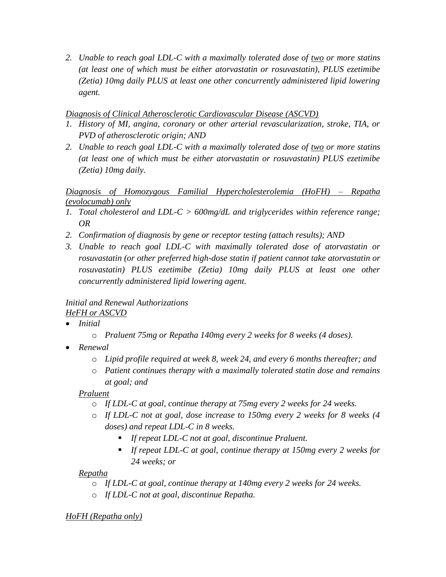*2. Unable to reach goal LDL-C with a maximally tolerated dose of two or more statins (at least one of which must be either atorvastatin or rosuvastatin), PLUS ezetimibe (Zetia) 10mg daily PLUS at least one other concurrently administered lipid lowering agent.*

## *Diagnosis of Clinical Atherosclerotic Cardiovascular Disease (ASCVD)*

- *1. History of MI, angina, coronary or other arterial revascularization, stroke, TIA, or PVD of atherosclerotic origin; AND*
- *2. Unable to reach goal LDL-C with a maximally tolerated dose of two or more statins (at least one of which must be either atorvastatin or rosuvastatin) PLUS ezetimibe (Zetia) 10mg daily.*

# *Diagnosis of Homozygous Familial Hypercholesterolemia (HoFH) – Repatha (evolocumab) only*

- *1. Total cholesterol and LDL-C > 600mg/dL and triglycerides within reference range; OR*
- *2. Confirmation of diagnosis by gene or receptor testing (attach results); AND*
- *3. Unable to reach goal LDL-C with maximally tolerated dose of atorvastatin or rosuvastatin (or other preferred high-dose statin if patient cannot take atorvastatin or rosuvastatin) PLUS ezetimibe (Zetia) 10mg daily PLUS at least one other concurrently administered lipid lowering agent.*

## *Initial and Renewal Authorizations HeFH or ASCVD*

- *Initial* 
	- o *Praluent 75mg or Repatha 140mg every 2 weeks for 8 weeks (4 doses).*
- *Renewal* 
	- o *Lipid profile required at week 8, week 24, and every 6 months thereafter; and*
	- o *Patient continues therapy with a maximally tolerated statin dose and remains at goal; and*

# *Praluent*

- o *If LDL-C at goal, continue therapy at 75mg every 2 weeks for 24 weeks.*
- o *If LDL-C not at goal, dose increase to 150mg every 2 weeks for 8 weeks (4 doses) and repeat LDL-C in 8 weeks.*
	- *If repeat LDL-C not at goal, discontinue Praluent.*
	- *If repeat LDL-C at goal, continue therapy at 150mg every 2 weeks for 24 weeks; or*

# *Repatha*

- o *If LDL-C at goal, continue therapy at 140mg every 2 weeks for 24 weeks.*
- o *If LDL-C not at goal, discontinue Repatha.*

# *HoFH (Repatha only)*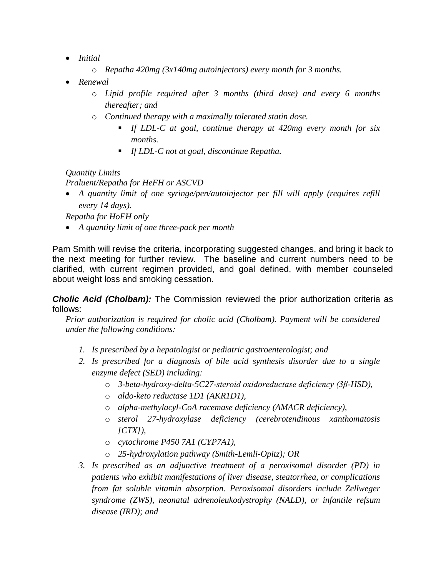- *Initial* 
	- o *Repatha 420mg (3x140mg autoinjectors) every month for 3 months.*
- *Renewal* 
	- o *Lipid profile required after 3 months (third dose) and every 6 months thereafter; and*
	- o *Continued therapy with a maximally tolerated statin dose.*
		- *If LDL-C at goal, continue therapy at 420mg every month for six months.*
		- *If LDL-C not at goal, discontinue Repatha.*

*Quantity Limits Praluent/Repatha for HeFH or ASCVD*

 *A quantity limit of one syringe/pen/autoinjector per fill will apply (requires refill every 14 days).*

*Repatha for HoFH only*

*A quantity limit of one three-pack per month*

Pam Smith will revise the criteria, incorporating suggested changes, and bring it back to the next meeting for further review. The baseline and current numbers need to be clarified, with current regimen provided, and goal defined, with member counseled about weight loss and smoking cessation.

*Cholic Acid (Cholbam):* The Commission reviewed the prior authorization criteria as follows:

*Prior authorization is required for cholic acid (Cholbam). Payment will be considered under the following conditions:*

- *1. Is prescribed by a hepatologist or pediatric gastroenterologist; and*
- *2. Is prescribed for a diagnosis of bile acid synthesis disorder due to a single enzyme defect (SED) including:*
	- o *3-beta-hydroxy-delta-5C27-steroid oxidoreductase deficiency (3β-HSD),*
	- o *aldo-keto reductase 1D1 (AKR1D1),*
	- o *alpha-methylacyl-CoA racemase deficiency (AMACR deficiency),*
	- o *sterol 27-hydroxylase deficiency (cerebrotendinous xanthomatosis [CTX]),*
	- o *cytochrome P450 7A1 (CYP7A1),*
	- o *25-hydroxylation pathway (Smith-Lemli-Opitz); OR*
- *3. Is prescribed as an adjunctive treatment of a peroxisomal disorder (PD) in patients who exhibit manifestations of liver disease, steatorrhea, or complications from fat soluble vitamin absorption. Peroxisomal disorders include Zellweger syndrome (ZWS), neonatal adrenoleukodystrophy (NALD), or infantile refsum disease (IRD); and*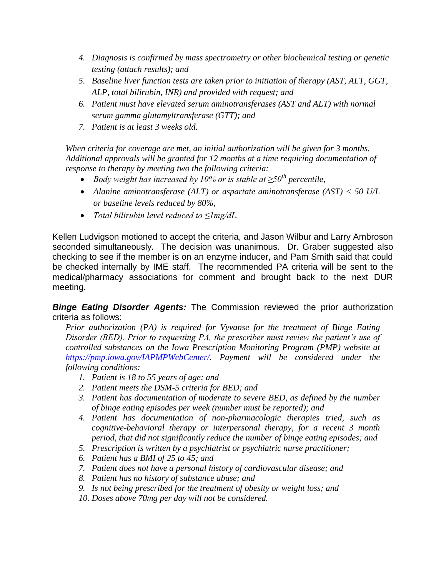- *4. Diagnosis is confirmed by mass spectrometry or other biochemical testing or genetic testing (attach results); and*
- *5. Baseline liver function tests are taken prior to initiation of therapy (AST, ALT, GGT, ALP, total bilirubin, INR) and provided with request; and*
- *6. Patient must have elevated serum aminotransferases (AST and ALT) with normal serum gamma glutamyltransferase (GTT); and*
- *7. Patient is at least 3 weeks old.*

*When criteria for coverage are met, an initial authorization will be given for 3 months. Additional approvals will be granted for 12 months at a time requiring documentation of response to therapy by meeting two the following criteria:* 

- *Body weight has increased by 10% or is stable at ≥50th percentile,*
- *Alanine aminotransferase (ALT) or aspartate aminotransferase (AST) < 50 U/L or baseline levels reduced by 80%,*
- *Total bilirubin level reduced to ≤1mg/dL.*

Kellen Ludvigson motioned to accept the criteria, and Jason Wilbur and Larry Ambroson seconded simultaneously. The decision was unanimous. Dr. Graber suggested also checking to see if the member is on an enzyme inducer, and Pam Smith said that could be checked internally by IME staff. The recommended PA criteria will be sent to the medical/pharmacy associations for comment and brought back to the next DUR meeting.

*Binge Eating Disorder Agents:* The Commission reviewed the prior authorization criteria as follows:

*Prior authorization (PA) is required for Vyvanse for the treatment of Binge Eating Disorder (BED). Prior to requesting PA, the prescriber must review the patient's use of controlled substances on the Iowa Prescription Monitoring Program (PMP) website at https://pmp.iowa.gov/IAPMPWebCenter/. Payment will be considered under the following conditions:* 

- *1. Patient is 18 to 55 years of age; and*
- *2. Patient meets the DSM-5 criteria for BED; and*
- *3. Patient has documentation of moderate to severe BED, as defined by the number of binge eating episodes per week (number must be reported); and*
- *4. Patient has documentation of non-pharmacologic therapies tried, such as cognitive-behavioral therapy or interpersonal therapy, for a recent 3 month period, that did not significantly reduce the number of binge eating episodes; and*
- *5. Prescription is written by a psychiatrist or psychiatric nurse practitioner;*
- *6. Patient has a BMI of 25 to 45; and*
- *7. Patient does not have a personal history of cardiovascular disease; and*
- *8. Patient has no history of substance abuse; and*
- *9. Is not being prescribed for the treatment of obesity or weight loss; and*
- *10. Doses above 70mg per day will not be considered.*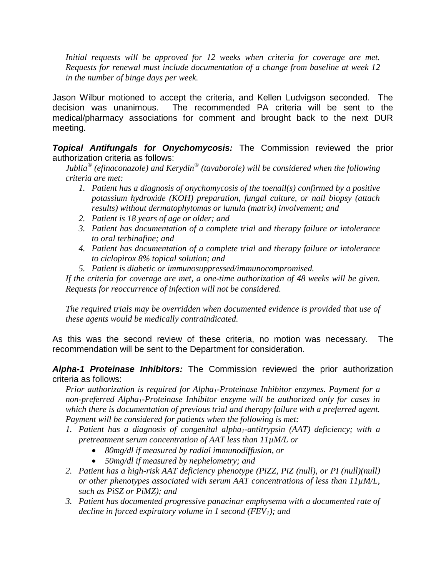Initial requests will be approved for 12 weeks when criteria for coverage are met. *Requests for renewal must include documentation of a change from baseline at week 12 in the number of binge days per week.*

Jason Wilbur motioned to accept the criteria, and Kellen Ludvigson seconded. The decision was unanimous. The recommended PA criteria will be sent to the medical/pharmacy associations for comment and brought back to the next DUR meeting.

*Topical Antifungals for Onychomycosis:* The Commission reviewed the prior authorization criteria as follows:

*Jublia® (efinaconazole) and Kerydin® (tavaborole) will be considered when the following criteria are met:*

- *1. Patient has a diagnosis of onychomycosis of the toenail(s) confirmed by a positive potassium hydroxide (KOH) preparation, fungal culture, or nail biopsy (attach results) without dermatophytomas or lunula (matrix) involvement; and*
- *2. Patient is 18 years of age or older; and*
- *3. Patient has documentation of a complete trial and therapy failure or intolerance to oral terbinafine; and*
- *4. Patient has documentation of a complete trial and therapy failure or intolerance to ciclopirox 8% topical solution; and*
- *5. Patient is diabetic or immunosuppressed/immunocompromised.*

*If the criteria for coverage are met, a one-time authorization of 48 weeks will be given. Requests for reoccurrence of infection will not be considered.*

*The required trials may be overridden when documented evidence is provided that use of these agents would be medically contraindicated.*

As this was the second review of these criteria, no motion was necessary. The recommendation will be sent to the Department for consideration.

*Alpha-1 Proteinase Inhibitors:* The Commission reviewed the prior authorization criteria as follows:

*Prior authorization is required for Alpha1-Proteinase Inhibitor enzymes. Payment for a non-preferred Alpha1-Proteinase Inhibitor enzyme will be authorized only for cases in which there is documentation of previous trial and therapy failure with a preferred agent. Payment will be considered for patients when the following is met:*

- *1. Patient has a diagnosis of congenital alpha1-antitrypsin (AAT) deficiency; with a pretreatment serum concentration of AAT less than 11µM/L or*
	- *80mg/dl if measured by radial immunodiffusion, or*
	- *50mg/dl if measured by nephelometry; and*
- *2. Patient has a high-risk AAT deficiency phenotype (PiZZ, PiZ (null), or PI (null)(null) or other phenotypes associated with serum AAT concentrations of less than 11µM/L, such as PiSZ or PiMZ); and*
- *3. Patient has documented progressive panacinar emphysema with a documented rate of decline in forced expiratory volume in 1 second (FEV1); and*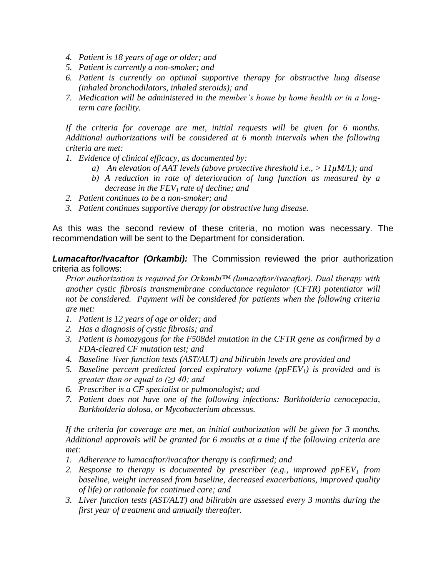- *4. Patient is 18 years of age or older; and*
- *5. Patient is currently a non-smoker; and*
- *6. Patient is currently on optimal supportive therapy for obstructive lung disease (inhaled bronchodilators, inhaled steroids); and*
- *7. Medication will be administered in the member's home by home health or in a longterm care facility.*

*If the criteria for coverage are met, initial requests will be given for 6 months. Additional authorizations will be considered at 6 month intervals when the following criteria are met:*

- *1. Evidence of clinical efficacy, as documented by:*
	- *a) An elevation of AAT levels (above protective threshold i.e., > 11µM/L); and*
	- *b) A reduction in rate of deterioration of lung function as measured by a decrease in the FEV1 rate of decline; and*
- *2. Patient continues to be a non-smoker; and*
- *3. Patient continues supportive therapy for obstructive lung disease.*

As this was the second review of these criteria, no motion was necessary. The recommendation will be sent to the Department for consideration.

**Lumacaftor/Ivacaftor (Orkambi):** The Commission reviewed the prior authorization criteria as follows:

*Prior authorization is required for Orkambi™ (lumacaftor/ivacaftor). Dual therapy with another cystic fibrosis transmembrane conductance regulator (CFTR) potentiator will not be considered. Payment will be considered for patients when the following criteria are met:* 

- *1. Patient is 12 years of age or older; and*
- *2. Has a diagnosis of cystic fibrosis; and*
- *3. Patient is homozygous for the F508del mutation in the CFTR gene as confirmed by a FDA-cleared CF mutation test; and*
- *4. Baseline liver function tests (AST/ALT) and bilirubin levels are provided and*
- *5. Baseline percent predicted forced expiratory volume (ppFEV1) is provided and is greater than or equal to (≥) 40; and*
- *6. Prescriber is a CF specialist or pulmonologist; and*
- *7. Patient does not have one of the following infections: Burkholderia cenocepacia, Burkholderia dolosa, or Mycobacterium abcessus.*

*If the criteria for coverage are met, an initial authorization will be given for 3 months. Additional approvals will be granted for 6 months at a time if the following criteria are met:*

- *1. Adherence to lumacaftor/ivacaftor therapy is confirmed; and*
- *2. Response to therapy is documented by prescriber (e.g., improved ppFEV<sup>1</sup> from baseline, weight increased from baseline, decreased exacerbations, improved quality of life) or rationale for continued care; and*
- *3. Liver function tests (AST/ALT) and bilirubin are assessed every 3 months during the first year of treatment and annually thereafter.*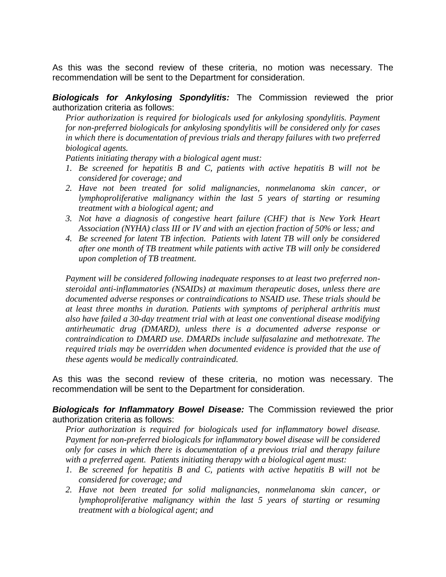As this was the second review of these criteria, no motion was necessary. The recommendation will be sent to the Department for consideration.

*Biologicals for Ankylosing Spondylitis:* The Commission reviewed the prior authorization criteria as follows:

*Prior authorization is required for biologicals used for ankylosing spondylitis. Payment for non-preferred biologicals for ankylosing spondylitis will be considered only for cases in which there is documentation of previous trials and therapy failures with two preferred biological agents.* 

*Patients initiating therapy with a biological agent must:*

- *1. Be screened for hepatitis B and C, patients with active hepatitis B will not be considered for coverage; and*
- *2. Have not been treated for solid malignancies, nonmelanoma skin cancer, or lymphoproliferative malignancy within the last 5 years of starting or resuming treatment with a biological agent; and*
- *3. Not have a diagnosis of congestive heart failure (CHF) that is New York Heart Association (NYHA) class III or IV and with an ejection fraction of 50% or less; and*
- *4. Be screened for latent TB infection. Patients with latent TB will only be considered after one month of TB treatment while patients with active TB will only be considered upon completion of TB treatment.*

*Payment will be considered following inadequate responses to at least two preferred nonsteroidal anti-inflammatories (NSAIDs) at maximum therapeutic doses, unless there are documented adverse responses or contraindications to NSAID use. These trials should be at least three months in duration. Patients with symptoms of peripheral arthritis must also have failed a 30-day treatment trial with at least one conventional disease modifying antirheumatic drug (DMARD), unless there is a documented adverse response or contraindication to DMARD use. DMARDs include sulfasalazine and methotrexate. The required trials may be overridden when documented evidence is provided that the use of these agents would be medically contraindicated.*

As this was the second review of these criteria, no motion was necessary. The recommendation will be sent to the Department for consideration.

*Biologicals for Inflammatory Bowel Disease:* The Commission reviewed the prior authorization criteria as follows:

*Prior authorization is required for biologicals used for inflammatory bowel disease. Payment for non-preferred biologicals for inflammatory bowel disease will be considered only for cases in which there is documentation of a previous trial and therapy failure with a preferred agent. Patients initiating therapy with a biological agent must:*

- *1. Be screened for hepatitis B and C, patients with active hepatitis B will not be considered for coverage; and*
- *2. Have not been treated for solid malignancies, nonmelanoma skin cancer, or lymphoproliferative malignancy within the last 5 years of starting or resuming treatment with a biological agent; and*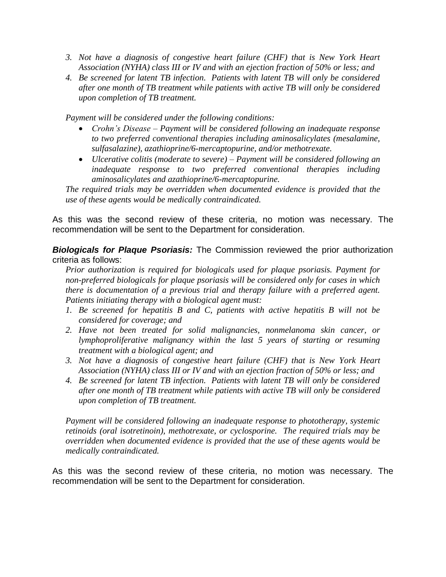- *3. Not have a diagnosis of congestive heart failure (CHF) that is New York Heart Association (NYHA) class III or IV and with an ejection fraction of 50% or less; and*
- *4. Be screened for latent TB infection. Patients with latent TB will only be considered after one month of TB treatment while patients with active TB will only be considered upon completion of TB treatment.*

*Payment will be considered under the following conditions:*

- *Crohn's Disease – Payment will be considered following an inadequate response to two preferred conventional therapies including aminosalicylates (mesalamine, sulfasalazine), azathioprine/6-mercaptopurine, and/or methotrexate.*
- *Ulcerative colitis (moderate to severe) – Payment will be considered following an inadequate response to two preferred conventional therapies including aminosalicylates and azathioprine/6-mercaptopurine.*

*The required trials may be overridden when documented evidence is provided that the use of these agents would be medically contraindicated.*

As this was the second review of these criteria, no motion was necessary. The recommendation will be sent to the Department for consideration.

*Biologicals for Plaque Psoriasis:* The Commission reviewed the prior authorization criteria as follows:

*Prior authorization is required for biologicals used for plaque psoriasis. Payment for non-preferred biologicals for plaque psoriasis will be considered only for cases in which there is documentation of a previous trial and therapy failure with a preferred agent. Patients initiating therapy with a biological agent must:*

- *1. Be screened for hepatitis B and C, patients with active hepatitis B will not be considered for coverage; and*
- *2. Have not been treated for solid malignancies, nonmelanoma skin cancer, or lymphoproliferative malignancy within the last 5 years of starting or resuming treatment with a biological agent; and*
- *3. Not have a diagnosis of congestive heart failure (CHF) that is New York Heart Association (NYHA) class III or IV and with an ejection fraction of 50% or less; and*
- *4. Be screened for latent TB infection. Patients with latent TB will only be considered after one month of TB treatment while patients with active TB will only be considered upon completion of TB treatment.*

*Payment will be considered following an inadequate response to phototherapy, systemic retinoids (oral isotretinoin), methotrexate, or cyclosporine. The required trials may be overridden when documented evidence is provided that the use of these agents would be medically contraindicated.*

As this was the second review of these criteria, no motion was necessary. The recommendation will be sent to the Department for consideration.